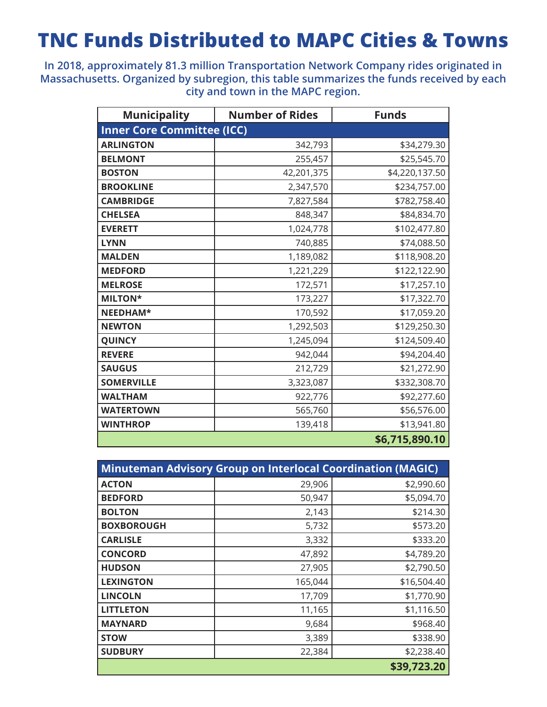## **TNC Funds Distributed to MAPC Cities & Towns**

**In 2018, approximately 81.3 million Transportation Network Company rides originated in Massachusetts. Organized by subregion, this table summarizes the funds received by each city and town in the MAPC region.** 

| <b>Municipality</b>               | <b>Number of Rides</b> | <b>Funds</b>   |  |
|-----------------------------------|------------------------|----------------|--|
| <b>Inner Core Committee (ICC)</b> |                        |                |  |
| <b>ARLINGTON</b>                  | \$34,279.30<br>342,793 |                |  |
| <b>BELMONT</b>                    | 255,457                | \$25,545.70    |  |
| <b>BOSTON</b>                     | 42,201,375             | \$4,220,137.50 |  |
| <b>BROOKLINE</b>                  | 2,347,570              | \$234,757.00   |  |
| <b>CAMBRIDGE</b>                  | 7,827,584              | \$782,758.40   |  |
| <b>CHELSEA</b>                    | 848,347                | \$84,834.70    |  |
| <b>EVERETT</b>                    | 1,024,778              | \$102,477.80   |  |
| <b>LYNN</b>                       | 740,885                | \$74,088.50    |  |
| <b>MALDEN</b>                     | 1,189,082              | \$118,908.20   |  |
| <b>MEDFORD</b>                    | 1,221,229              | \$122,122.90   |  |
| <b>MELROSE</b>                    | 172,571                | \$17,257.10    |  |
| <b>MILTON*</b>                    | 173,227                | \$17,322.70    |  |
| NEEDHAM*                          | 170,592                | \$17,059.20    |  |
| <b>NEWTON</b>                     | 1,292,503              | \$129,250.30   |  |
| <b>QUINCY</b>                     | 1,245,094              | \$124,509.40   |  |
| <b>REVERE</b>                     | 942,044                | \$94,204.40    |  |
| <b>SAUGUS</b>                     | 212,729                | \$21,272.90    |  |
| <b>SOMERVILLE</b>                 | 3,323,087              | \$332,308.70   |  |
| <b>WALTHAM</b>                    | 922,776                | \$92,277.60    |  |
| <b>WATERTOWN</b>                  | 565,760                | \$56,576.00    |  |
| <b>WINTHROP</b>                   | 139,418                | \$13,941.80    |  |
|                                   |                        | \$6,715,890.10 |  |

| <b>Minuteman Advisory Group on Interlocal Coordination (MAGIC)</b> |         |             |  |
|--------------------------------------------------------------------|---------|-------------|--|
| <b>ACTON</b>                                                       | 29,906  | \$2,990.60  |  |
| <b>BEDFORD</b>                                                     | 50,947  | \$5,094.70  |  |
| <b>BOLTON</b>                                                      | 2,143   | \$214.30    |  |
| <b>BOXBOROUGH</b>                                                  | 5,732   | \$573.20    |  |
| <b>CARLISLE</b>                                                    | 3,332   | \$333.20    |  |
| <b>CONCORD</b>                                                     | 47,892  | \$4,789.20  |  |
| <b>HUDSON</b>                                                      | 27,905  | \$2,790.50  |  |
| <b>LEXINGTON</b>                                                   | 165,044 | \$16,504.40 |  |
| <b>LINCOLN</b>                                                     | 17,709  | \$1,770.90  |  |
| <b>LITTLETON</b>                                                   | 11,165  | \$1,116.50  |  |
| <b>MAYNARD</b>                                                     | 9,684   | \$968.40    |  |
| <b>STOW</b>                                                        | 3,389   | \$338.90    |  |
| <b>SUDBURY</b>                                                     | 22,384  | \$2,238.40  |  |
|                                                                    |         | \$39,723.20 |  |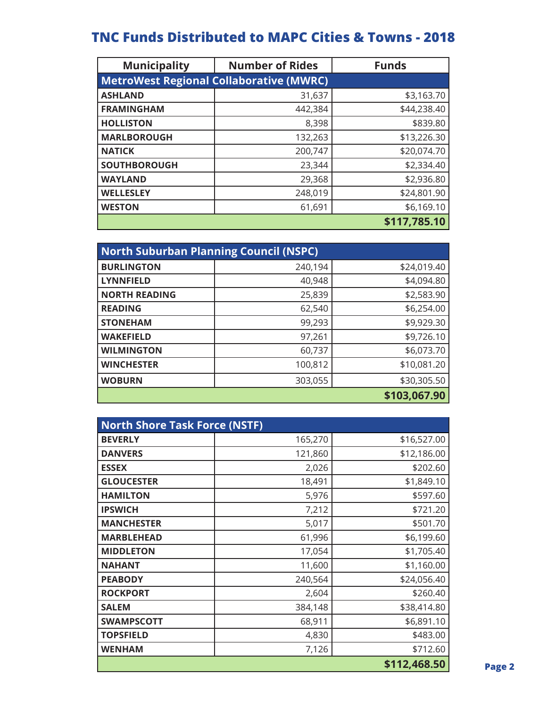## **TNC Funds Distributed to MAPC Cities & Towns - 2018**

| <b>Municipality</b>                            | <b>Number of Rides</b> | <b>Funds</b> |  |
|------------------------------------------------|------------------------|--------------|--|
| <b>MetroWest Regional Collaborative (MWRC)</b> |                        |              |  |
| <b>ASHLAND</b>                                 | 31,637                 | \$3,163.70   |  |
| <b>FRAMINGHAM</b>                              | 442,384                | \$44,238.40  |  |
| <b>HOLLISTON</b>                               | 8,398                  | \$839.80     |  |
| <b>MARLBOROUGH</b>                             | 132,263                | \$13,226.30  |  |
| <b>NATICK</b>                                  | 200,747                | \$20,074.70  |  |
| <b>SOUTHBOROUGH</b>                            | 23,344                 | \$2,334.40   |  |
| <b>WAYLAND</b>                                 | 29,368                 | \$2,936.80   |  |
| <b>WELLESLEY</b>                               | 248,019                | \$24,801.90  |  |
| <b>WESTON</b>                                  | 61,691                 | \$6,169.10   |  |
|                                                |                        | \$117,785.10 |  |

| <b>North Suburban Planning Council (NSPC)</b> |         |              |  |
|-----------------------------------------------|---------|--------------|--|
| <b>BURLINGTON</b>                             | 240,194 | \$24,019.40  |  |
| <b>LYNNFIELD</b>                              | 40,948  | \$4,094.80   |  |
| <b>NORTH READING</b>                          | 25,839  | \$2,583.90   |  |
| <b>READING</b>                                | 62,540  | \$6,254.00   |  |
| <b>STONEHAM</b>                               | 99,293  | \$9,929.30   |  |
| <b>WAKEFIELD</b>                              | 97,261  | \$9,726.10   |  |
| <b>WILMINGTON</b>                             | 60,737  | \$6,073.70   |  |
| <b>WINCHESTER</b>                             | 100,812 | \$10,081.20  |  |
| <b>WOBURN</b>                                 | 303,055 | \$30,305.50  |  |
|                                               |         | \$103,067.90 |  |

| <b>North Shore Task Force (NSTF)</b> |         |              |  |  |
|--------------------------------------|---------|--------------|--|--|
| <b>BEVERLY</b>                       | 165,270 | \$16,527.00  |  |  |
| <b>DANVERS</b>                       | 121,860 | \$12,186.00  |  |  |
| <b>ESSEX</b>                         | 2,026   | \$202.60     |  |  |
| <b>GLOUCESTER</b>                    | 18,491  | \$1,849.10   |  |  |
| <b>HAMILTON</b>                      | 5,976   | \$597.60     |  |  |
| <b>IPSWICH</b>                       | 7,212   | \$721.20     |  |  |
| <b>MANCHESTER</b>                    | 5,017   | \$501.70     |  |  |
| <b>MARBLEHEAD</b>                    | 61,996  | \$6,199.60   |  |  |
| <b>MIDDLETON</b>                     | 17,054  | \$1,705.40   |  |  |
| <b>NAHANT</b>                        | 11,600  | \$1,160.00   |  |  |
| <b>PEABODY</b>                       | 240,564 | \$24,056.40  |  |  |
| <b>ROCKPORT</b>                      | 2,604   | \$260.40     |  |  |
| <b>SALEM</b>                         | 384,148 | \$38,414.80  |  |  |
| <b>SWAMPSCOTT</b>                    | 68,911  | \$6,891.10   |  |  |
| <b>TOPSFIELD</b>                     | 4,830   | \$483.00     |  |  |
| <b>WENHAM</b>                        | 7,126   | \$712.60     |  |  |
|                                      |         | \$112,468.50 |  |  |

**Page 2**